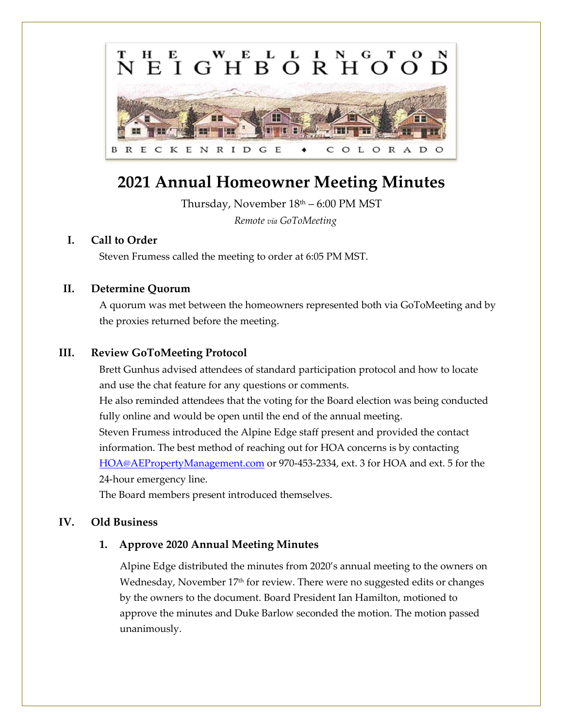

# **2021 Annual Homeowner Meeting Minutes**

Thursday, November 18th – 6:00 PM MST

*Remote via GoToMeeting*

# **I. Call to Order**

Steven Frumess called the meeting to order at 6:05 PM MST.

# **II. Determine Quorum**

A quorum was met between the homeowners represented both via GoToMeeting and by the proxies returned before the meeting.

# **III. Review GoToMeeting Protocol**

Brett Gunhus advised attendees of standard participation protocol and how to locate and use the chat feature for any questions or comments.

He also reminded attendees that the voting for the Board election was being conducted fully online and would be open until the end of the annual meeting.

Steven Frumess introduced the Alpine Edge staff present and provided the contact information. The best method of reaching out for HOA concerns is by contacting [HOA@AEPropertyManagement.com](mailto:HOA@AEPropertyManagement.com) or 970-453-2334, ext. 3 for HOA and ext. 5 for the 24-hour emergency line.

The Board members present introduced themselves.

# **IV. Old Business**

# **1. Approve 2020 Annual Meeting Minutes**

Alpine Edge distributed the minutes from 2020's annual meeting to the owners on Wednesday, November 17th for review. There were no suggested edits or changes by the owners to the document. Board President Ian Hamilton, motioned to approve the minutes and Duke Barlow seconded the motion. The motion passed unanimously.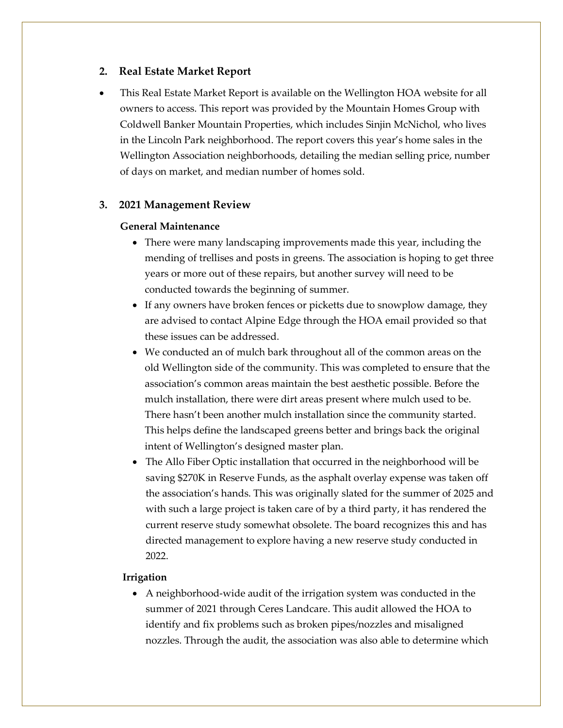## **2. Real Estate Market Report**

• This Real Estate Market Report is available on the Wellington HOA website for all owners to access. This report was provided by the Mountain Homes Group with Coldwell Banker Mountain Properties, which includes Sinjin McNichol, who lives in the Lincoln Park neighborhood. The report covers this year's home sales in the Wellington Association neighborhoods, detailing the median selling price, number of days on market, and median number of homes sold.

#### **3. 2021 Management Review**

#### **General Maintenance**

- There were many landscaping improvements made this year, including the mending of trellises and posts in greens. The association is hoping to get three years or more out of these repairs, but another survey will need to be conducted towards the beginning of summer.
- If any owners have broken fences or picketts due to snowplow damage, they are advised to contact Alpine Edge through the HOA email provided so that these issues can be addressed.
- We conducted an of mulch bark throughout all of the common areas on the old Wellington side of the community. This was completed to ensure that the association's common areas maintain the best aesthetic possible. Before the mulch installation, there were dirt areas present where mulch used to be. There hasn't been another mulch installation since the community started. This helps define the landscaped greens better and brings back the original intent of Wellington's designed master plan.
- The Allo Fiber Optic installation that occurred in the neighborhood will be saving \$270K in Reserve Funds, as the asphalt overlay expense was taken off the association's hands. This was originally slated for the summer of 2025 and with such a large project is taken care of by a third party, it has rendered the current reserve study somewhat obsolete. The board recognizes this and has directed management to explore having a new reserve study conducted in 2022.

#### **Irrigation**

• A neighborhood-wide audit of the irrigation system was conducted in the summer of 2021 through Ceres Landcare. This audit allowed the HOA to identify and fix problems such as broken pipes/nozzles and misaligned nozzles. Through the audit, the association was also able to determine which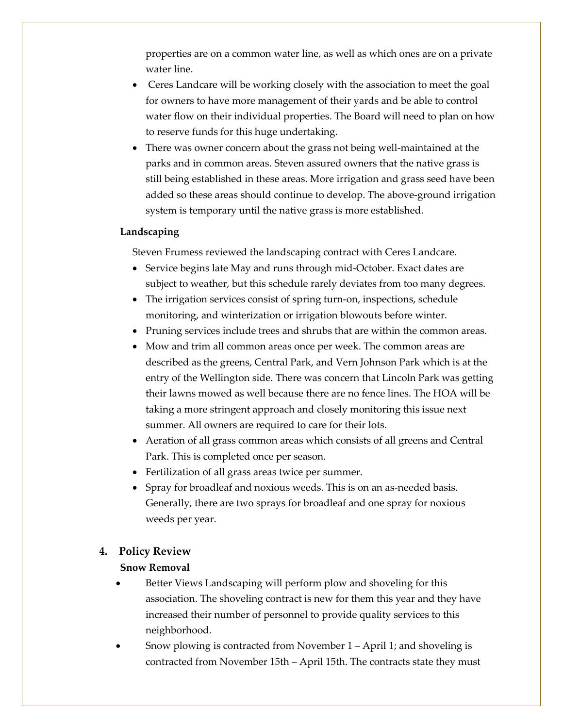properties are on a common water line, as well as which ones are on a private water line.

- Ceres Landcare will be working closely with the association to meet the goal for owners to have more management of their yards and be able to control water flow on their individual properties. The Board will need to plan on how to reserve funds for this huge undertaking.
- There was owner concern about the grass not being well-maintained at the parks and in common areas. Steven assured owners that the native grass is still being established in these areas. More irrigation and grass seed have been added so these areas should continue to develop. The above-ground irrigation system is temporary until the native grass is more established.

#### **Landscaping**

Steven Frumess reviewed the landscaping contract with Ceres Landcare.

- Service begins late May and runs through mid-October. Exact dates are subject to weather, but this schedule rarely deviates from too many degrees.
- The irrigation services consist of spring turn-on, inspections, schedule monitoring, and winterization or irrigation blowouts before winter.
- Pruning services include trees and shrubs that are within the common areas.
- Mow and trim all common areas once per week. The common areas are described as the greens, Central Park, and Vern Johnson Park which is at the entry of the Wellington side. There was concern that Lincoln Park was getting their lawns mowed as well because there are no fence lines. The HOA will be taking a more stringent approach and closely monitoring this issue next summer. All owners are required to care for their lots.
- Aeration of all grass common areas which consists of all greens and Central Park. This is completed once per season.
- Fertilization of all grass areas twice per summer.
- Spray for broadleaf and noxious weeds. This is on an as-needed basis. Generally, there are two sprays for broadleaf and one spray for noxious weeds per year.

#### **4. Policy Review**

#### **Snow Removal**

- Better Views Landscaping will perform plow and shoveling for this association. The shoveling contract is new for them this year and they have increased their number of personnel to provide quality services to this neighborhood.
- Snow plowing is contracted from November 1 April 1; and shoveling is contracted from November 15th – April 15th. The contracts state they must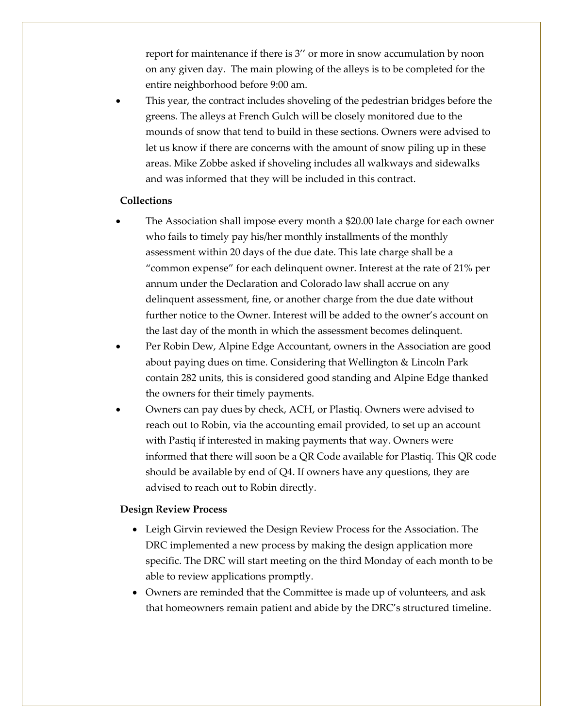report for maintenance if there is 3'' or more in snow accumulation by noon on any given day. The main plowing of the alleys is to be completed for the entire neighborhood before 9:00 am.

• This year, the contract includes shoveling of the pedestrian bridges before the greens. The alleys at French Gulch will be closely monitored due to the mounds of snow that tend to build in these sections. Owners were advised to let us know if there are concerns with the amount of snow piling up in these areas. Mike Zobbe asked if shoveling includes all walkways and sidewalks and was informed that they will be included in this contract.

#### **Collections**

- The Association shall impose every month a \$20.00 late charge for each owner who fails to timely pay his/her monthly installments of the monthly assessment within 20 days of the due date. This late charge shall be a "common expense" for each delinquent owner. Interest at the rate of 21% per annum under the Declaration and Colorado law shall accrue on any delinquent assessment, fine, or another charge from the due date without further notice to the Owner. Interest will be added to the owner's account on the last day of the month in which the assessment becomes delinquent.
- Per Robin Dew, Alpine Edge Accountant, owners in the Association are good about paying dues on time. Considering that Wellington & Lincoln Park contain 282 units, this is considered good standing and Alpine Edge thanked the owners for their timely payments.
- Owners can pay dues by check, ACH, or Plastiq. Owners were advised to reach out to Robin, via the accounting email provided, to set up an account with Pastiq if interested in making payments that way. Owners were informed that there will soon be a QR Code available for Plastiq. This QR code should be available by end of Q4. If owners have any questions, they are advised to reach out to Robin directly.

## **Design Review Process**

- Leigh Girvin reviewed the Design Review Process for the Association. The DRC implemented a new process by making the design application more specific. The DRC will start meeting on the third Monday of each month to be able to review applications promptly.
- Owners are reminded that the Committee is made up of volunteers, and ask that homeowners remain patient and abide by the DRC's structured timeline.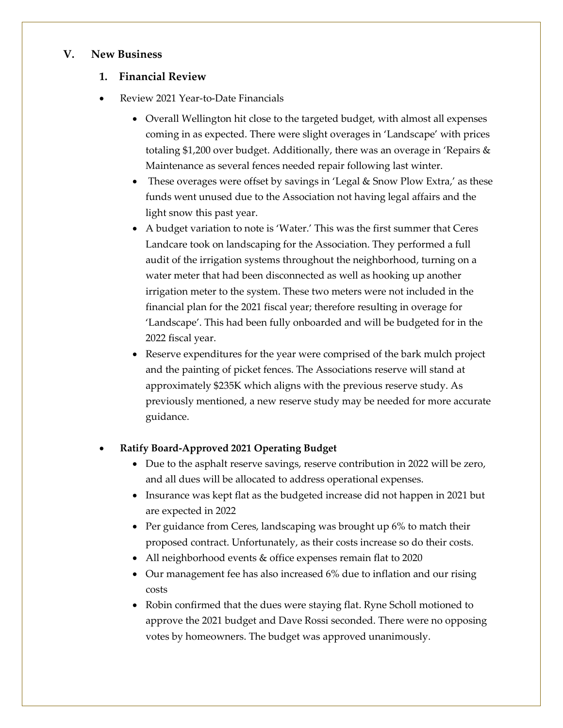## **V. New Business**

# **1. Financial Review**

- Review 2021 Year-to-Date Financials
	- Overall Wellington hit close to the targeted budget, with almost all expenses coming in as expected. There were slight overages in 'Landscape' with prices totaling \$1,200 over budget. Additionally, there was an overage in 'Repairs & Maintenance as several fences needed repair following last winter.
	- These overages were offset by savings in 'Legal & Snow Plow Extra,' as these funds went unused due to the Association not having legal affairs and the light snow this past year.
	- A budget variation to note is 'Water.' This was the first summer that Ceres Landcare took on landscaping for the Association. They performed a full audit of the irrigation systems throughout the neighborhood, turning on a water meter that had been disconnected as well as hooking up another irrigation meter to the system. These two meters were not included in the financial plan for the 2021 fiscal year; therefore resulting in overage for 'Landscape'. This had been fully onboarded and will be budgeted for in the 2022 fiscal year.
	- Reserve expenditures for the year were comprised of the bark mulch project and the painting of picket fences. The Associations reserve will stand at approximately \$235K which aligns with the previous reserve study. As previously mentioned, a new reserve study may be needed for more accurate guidance.

# • **Ratify Board-Approved 2021 Operating Budget**

- Due to the asphalt reserve savings, reserve contribution in 2022 will be zero, and all dues will be allocated to address operational expenses.
- Insurance was kept flat as the budgeted increase did not happen in 2021 but are expected in 2022
- Per guidance from Ceres, landscaping was brought up 6% to match their proposed contract. Unfortunately, as their costs increase so do their costs.
- All neighborhood events & office expenses remain flat to 2020
- Our management fee has also increased 6% due to inflation and our rising costs
- Robin confirmed that the dues were staying flat. Ryne Scholl motioned to approve the 2021 budget and Dave Rossi seconded. There were no opposing votes by homeowners. The budget was approved unanimously.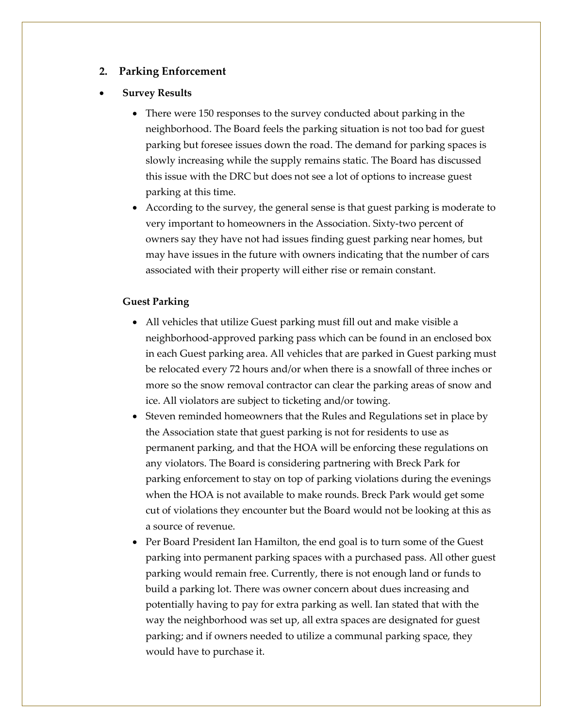## **2. Parking Enforcement**

#### • **Survey Results**

- There were 150 responses to the survey conducted about parking in the neighborhood. The Board feels the parking situation is not too bad for guest parking but foresee issues down the road. The demand for parking spaces is slowly increasing while the supply remains static. The Board has discussed this issue with the DRC but does not see a lot of options to increase guest parking at this time.
- According to the survey, the general sense is that guest parking is moderate to very important to homeowners in the Association. Sixty-two percent of owners say they have not had issues finding guest parking near homes, but may have issues in the future with owners indicating that the number of cars associated with their property will either rise or remain constant.

## **Guest Parking**

- All vehicles that utilize Guest parking must fill out and make visible a neighborhood-approved parking pass which can be found in an enclosed box in each Guest parking area. All vehicles that are parked in Guest parking must be relocated every 72 hours and/or when there is a snowfall of three inches or more so the snow removal contractor can clear the parking areas of snow and ice. All violators are subject to ticketing and/or towing.
- Steven reminded homeowners that the Rules and Regulations set in place by the Association state that guest parking is not for residents to use as permanent parking, and that the HOA will be enforcing these regulations on any violators. The Board is considering partnering with Breck Park for parking enforcement to stay on top of parking violations during the evenings when the HOA is not available to make rounds. Breck Park would get some cut of violations they encounter but the Board would not be looking at this as a source of revenue.
- Per Board President Ian Hamilton, the end goal is to turn some of the Guest parking into permanent parking spaces with a purchased pass. All other guest parking would remain free. Currently, there is not enough land or funds to build a parking lot. There was owner concern about dues increasing and potentially having to pay for extra parking as well. Ian stated that with the way the neighborhood was set up, all extra spaces are designated for guest parking; and if owners needed to utilize a communal parking space, they would have to purchase it.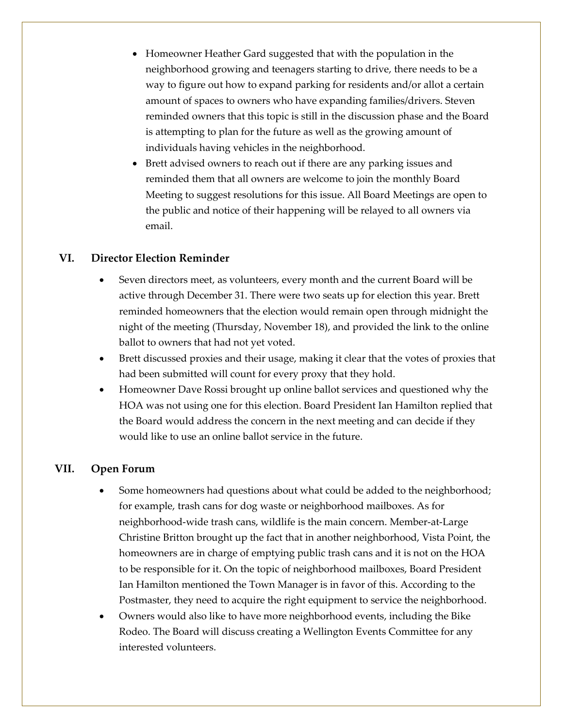- Homeowner Heather Gard suggested that with the population in the neighborhood growing and teenagers starting to drive, there needs to be a way to figure out how to expand parking for residents and/or allot a certain amount of spaces to owners who have expanding families/drivers. Steven reminded owners that this topic is still in the discussion phase and the Board is attempting to plan for the future as well as the growing amount of individuals having vehicles in the neighborhood.
- Brett advised owners to reach out if there are any parking issues and reminded them that all owners are welcome to join the monthly Board Meeting to suggest resolutions for this issue. All Board Meetings are open to the public and notice of their happening will be relayed to all owners via email.

## **VI. Director Election Reminder**

- Seven directors meet, as volunteers, every month and the current Board will be active through December 31. There were two seats up for election this year. Brett reminded homeowners that the election would remain open through midnight the night of the meeting (Thursday, November 18), and provided the link to the online ballot to owners that had not yet voted.
- Brett discussed proxies and their usage, making it clear that the votes of proxies that had been submitted will count for every proxy that they hold.
- Homeowner Dave Rossi brought up online ballot services and questioned why the HOA was not using one for this election. Board President Ian Hamilton replied that the Board would address the concern in the next meeting and can decide if they would like to use an online ballot service in the future.

## **VII. Open Forum**

- Some homeowners had questions about what could be added to the neighborhood; for example, trash cans for dog waste or neighborhood mailboxes. As for neighborhood-wide trash cans, wildlife is the main concern. Member-at-Large Christine Britton brought up the fact that in another neighborhood, Vista Point, the homeowners are in charge of emptying public trash cans and it is not on the HOA to be responsible for it. On the topic of neighborhood mailboxes, Board President Ian Hamilton mentioned the Town Manager is in favor of this. According to the Postmaster, they need to acquire the right equipment to service the neighborhood.
- Owners would also like to have more neighborhood events, including the Bike Rodeo. The Board will discuss creating a Wellington Events Committee for any interested volunteers.